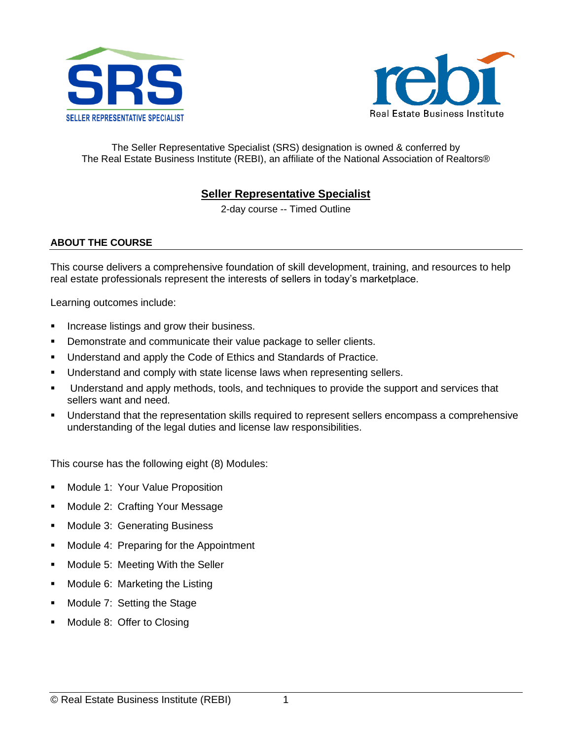



The Seller Representative Specialist (SRS) designation is owned & conferred by The Real Estate Business Institute (REBI), an affiliate of the National Association of Realtors®

### **Seller Representative Specialist**

2-day course -- Timed Outline

#### **ABOUT THE COURSE**

This course delivers a comprehensive foundation of skill development, training, and resources to help real estate professionals represent the interests of sellers in today's marketplace.

Learning outcomes include:

- **EXEDENT Increase listings and grow their business.**
- Demonstrate and communicate their value package to seller clients.
- Understand and apply the Code of Ethics and Standards of Practice.
- **■** Understand and comply with state license laws when representing sellers.
- **■** Understand and apply methods, tools, and techniques to provide the support and services that sellers want and need.
- Understand that the representation skills required to represent sellers encompass a comprehensive understanding of the legal duties and license law responsibilities.

This course has the following eight (8) Modules:

- Module 1: Your Value Proposition
- Module 2: Crafting Your Message
- Module 3: Generating Business
- Module 4: Preparing for the Appointment
- Module 5: Meeting With the Seller
- Module 6: Marketing the Listing
- Module 7: Setting the Stage
- Module 8: Offer to Closing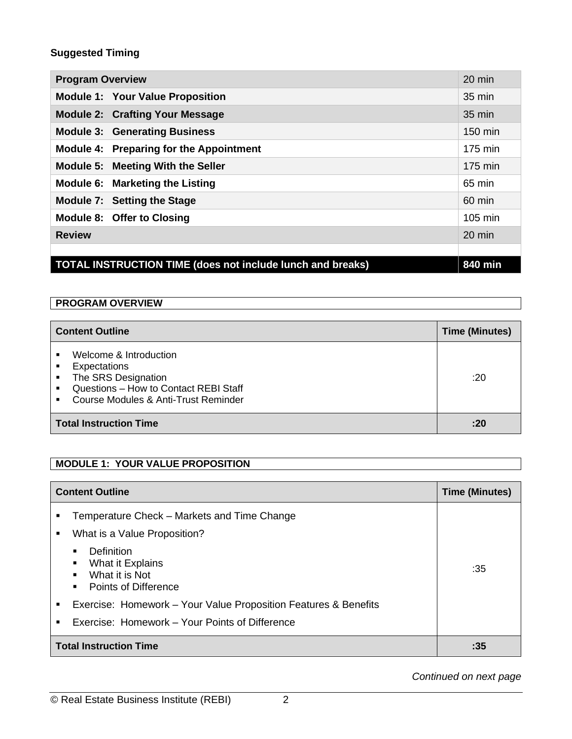# **Suggested Timing**

| <b>Program Overview</b>                                                      | $20 \text{ min}$ |
|------------------------------------------------------------------------------|------------------|
| <b>Module 1: Your Value Proposition</b>                                      | 35 min           |
| <b>Module 2: Crafting Your Message</b>                                       | $35 \text{ min}$ |
| <b>Module 3: Generating Business</b>                                         | 150 min          |
| Module 4: Preparing for the Appointment                                      | 175 min          |
| Module 5: Meeting With the Seller                                            | 175 min          |
| Module 6: Marketing the Listing                                              | 65 min           |
| Module 7: Setting the Stage                                                  | 60 min           |
| Module 8: Offer to Closing                                                   | 105 min          |
| <b>Review</b>                                                                | $20 \text{ min}$ |
|                                                                              |                  |
| <b>TOTAL INSTRUCTION TIME (does not include lunch and breaks)</b><br>840 min |                  |

#### **PROGRAM OVERVIEW**

| <b>Content Outline</b>                                                                                                                                                | <b>Time (Minutes)</b> |
|-----------------------------------------------------------------------------------------------------------------------------------------------------------------------|-----------------------|
| Welcome & Introduction<br>Expectations<br>٠<br>The SRS Designation<br>Questions - How to Contact REBI Staff<br>$\blacksquare$<br>Course Modules & Anti-Trust Reminder | :20                   |
| <b>Total Instruction Time</b>                                                                                                                                         | : 20                  |

# **MODULE 1: YOUR VALUE PROPOSITION**

|        | <b>Content Outline</b>                                                                                       | <b>Time (Minutes)</b> |
|--------|--------------------------------------------------------------------------------------------------------------|-----------------------|
| ٠<br>٠ | Temperature Check – Markets and Time Change<br>What is a Value Proposition?                                  |                       |
|        | Definition<br>$\blacksquare$<br>What it Explains<br>What it is Not<br>$\blacksquare$<br>Points of Difference | :35                   |
| ٠      | Exercise: Homework – Your Value Proposition Features & Benefits                                              |                       |
| ٠      | Exercise: Homework – Your Points of Difference                                                               |                       |
|        | <b>Total Instruction Time</b>                                                                                | :35                   |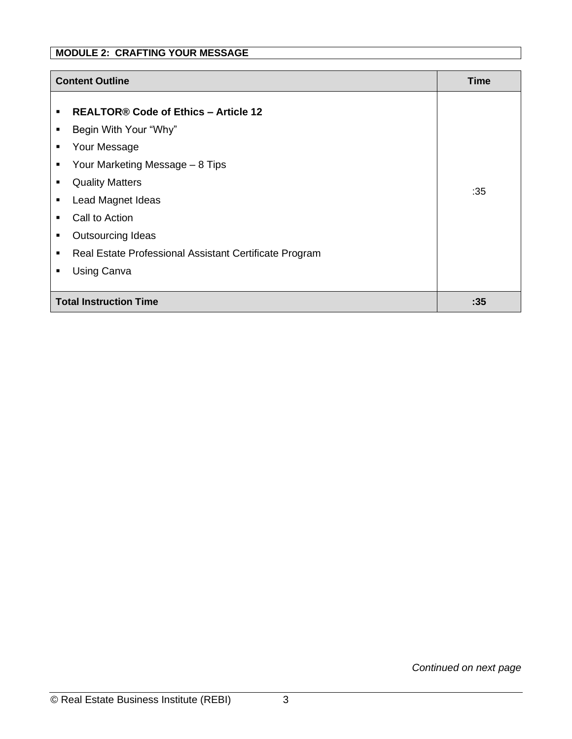# **MODULE 2: CRAFTING YOUR MESSAGE**

|                                                                                       | <b>Content Outline</b>                                                                                                                                                                                                                                                                        |                    |
|---------------------------------------------------------------------------------------|-----------------------------------------------------------------------------------------------------------------------------------------------------------------------------------------------------------------------------------------------------------------------------------------------|--------------------|
| $\blacksquare$<br>٠<br>٠<br>$\blacksquare$<br>٠<br>٠<br>$\blacksquare$<br>٠<br>п<br>٠ | <b>REALTOR® Code of Ethics - Article 12</b><br>Begin With Your "Why"<br>Your Message<br>Your Marketing Message - 8 Tips<br><b>Quality Matters</b><br>Lead Magnet Ideas<br>Call to Action<br><b>Outsourcing Ideas</b><br>Real Estate Professional Assistant Certificate Program<br>Using Canva | <b>Time</b><br>:35 |
| <b>Total Instruction Time</b><br>:35                                                  |                                                                                                                                                                                                                                                                                               |                    |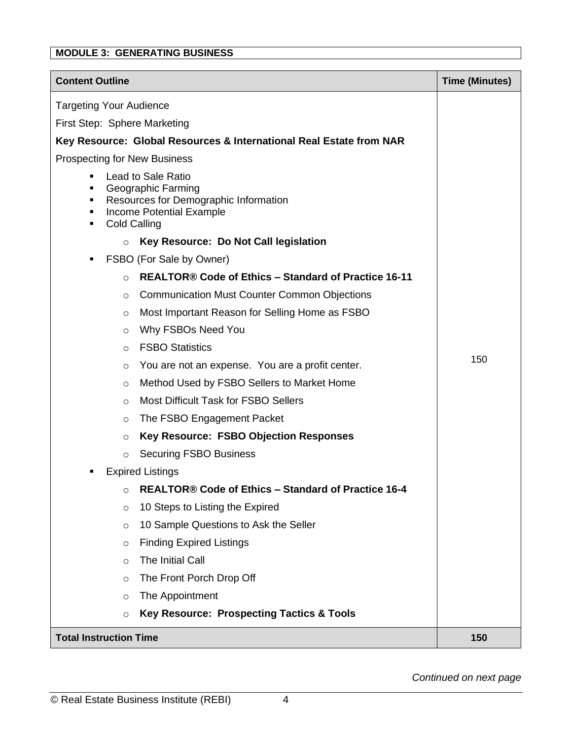# **MODULE 3: GENERATING BUSINESS**

| <b>Content Outline</b>                                                                                                                                   | <b>Time (Minutes)</b> |
|----------------------------------------------------------------------------------------------------------------------------------------------------------|-----------------------|
| <b>Targeting Your Audience</b>                                                                                                                           |                       |
| First Step: Sphere Marketing                                                                                                                             |                       |
| Key Resource: Global Resources & International Real Estate from NAR                                                                                      |                       |
| <b>Prospecting for New Business</b>                                                                                                                      |                       |
| <b>Lead to Sale Ratio</b><br>п<br>Geographic Farming<br>Resources for Demographic Information<br>п<br>Income Potential Example<br>п<br>Cold Calling<br>٠ |                       |
| Key Resource: Do Not Call legislation<br>$\circ$                                                                                                         |                       |
| FSBO (For Sale by Owner)<br>п                                                                                                                            |                       |
| REALTOR® Code of Ethics - Standard of Practice 16-11<br>$\circ$                                                                                          |                       |
| <b>Communication Must Counter Common Objections</b><br>O                                                                                                 |                       |
| Most Important Reason for Selling Home as FSBO<br>$\circ$                                                                                                |                       |
| Why FSBOs Need You<br>O                                                                                                                                  |                       |
| <b>FSBO Statistics</b><br>$\circ$                                                                                                                        |                       |
| You are not an expense. You are a profit center.<br>$\circ$                                                                                              | 150                   |
| Method Used by FSBO Sellers to Market Home<br>$\circ$                                                                                                    |                       |
| <b>Most Difficult Task for FSBO Sellers</b><br>$\circ$                                                                                                   |                       |
| The FSBO Engagement Packet<br>O                                                                                                                          |                       |
| <b>Key Resource: FSBO Objection Responses</b><br>$\circ$                                                                                                 |                       |
| <b>Securing FSBO Business</b><br>O                                                                                                                       |                       |
| <b>Expired Listings</b>                                                                                                                                  |                       |
| REALTOR® Code of Ethics - Standard of Practice 16-4<br>O                                                                                                 |                       |
| 10 Steps to Listing the Expired<br>$\circ$                                                                                                               |                       |
| 10 Sample Questions to Ask the Seller<br>$\circ$                                                                                                         |                       |
| <b>Finding Expired Listings</b><br>$\circ$                                                                                                               |                       |
| The Initial Call<br>$\circ$                                                                                                                              |                       |
| The Front Porch Drop Off<br>$\circ$                                                                                                                      |                       |
| The Appointment<br>$\circ$                                                                                                                               |                       |
| <b>Key Resource: Prospecting Tactics &amp; Tools</b><br>$\circ$                                                                                          |                       |
| <b>Total Instruction Time</b>                                                                                                                            | 150                   |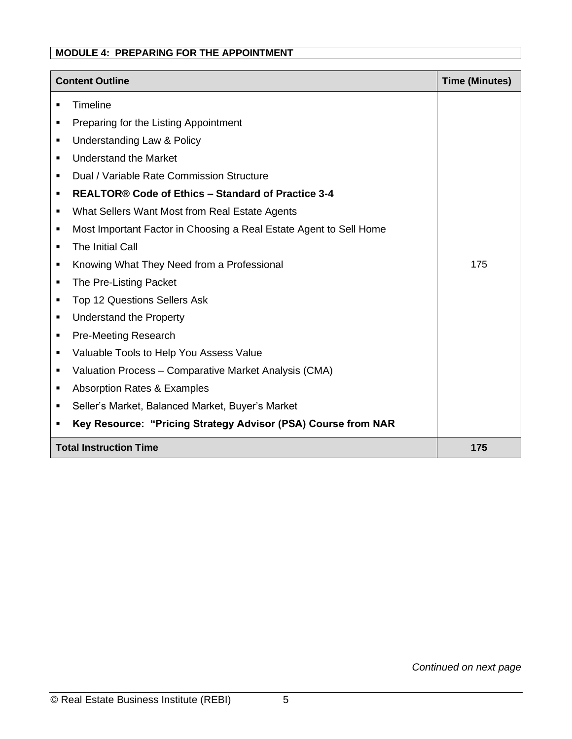### **MODULE 4: PREPARING FOR THE APPOINTMENT**

|                | <b>Content Outline</b><br><b>Time (Minutes)</b>                    |     |
|----------------|--------------------------------------------------------------------|-----|
| $\blacksquare$ | <b>Timeline</b>                                                    |     |
| ٠              | Preparing for the Listing Appointment                              |     |
| ٠              | Understanding Law & Policy                                         |     |
| ٠              | <b>Understand the Market</b>                                       |     |
| ٠              | Dual / Variable Rate Commission Structure                          |     |
| ٠              | <b>REALTOR® Code of Ethics - Standard of Practice 3-4</b>          |     |
| ٠              | What Sellers Want Most from Real Estate Agents                     |     |
| ٠              | Most Important Factor in Choosing a Real Estate Agent to Sell Home |     |
| ٠              | The Initial Call                                                   |     |
| ٠              | Knowing What They Need from a Professional                         | 175 |
| ٠              | The Pre-Listing Packet                                             |     |
| ٠              | Top 12 Questions Sellers Ask                                       |     |
| ٠              | <b>Understand the Property</b>                                     |     |
| ٠              | <b>Pre-Meeting Research</b>                                        |     |
| $\blacksquare$ | Valuable Tools to Help You Assess Value                            |     |
| $\blacksquare$ | Valuation Process - Comparative Market Analysis (CMA)              |     |
| ٠              | Absorption Rates & Examples                                        |     |
| ٠              | Seller's Market, Balanced Market, Buyer's Market                   |     |
| $\blacksquare$ | Key Resource: "Pricing Strategy Advisor (PSA) Course from NAR      |     |
|                | <b>Total Instruction Time</b>                                      | 175 |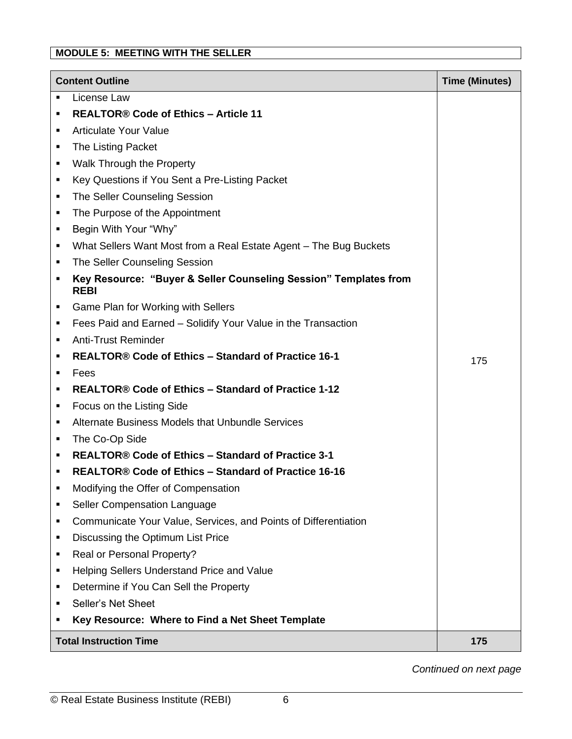# **MODULE 5: MEETING WITH THE SELLER**

| <b>Content Outline</b> |                                                                                 | <b>Time (Minutes)</b> |
|------------------------|---------------------------------------------------------------------------------|-----------------------|
| ٠                      | License Law                                                                     |                       |
| ٠                      | <b>REALTOR® Code of Ethics - Article 11</b>                                     |                       |
| ٠                      | <b>Articulate Your Value</b>                                                    |                       |
| ٠                      | The Listing Packet                                                              |                       |
| ٠                      | Walk Through the Property                                                       |                       |
| ٠                      | Key Questions if You Sent a Pre-Listing Packet                                  |                       |
| ٠                      | The Seller Counseling Session                                                   |                       |
| ٠                      | The Purpose of the Appointment                                                  |                       |
| ٠                      | Begin With Your "Why"                                                           |                       |
| ٠                      | What Sellers Want Most from a Real Estate Agent - The Bug Buckets               |                       |
| ٠                      | The Seller Counseling Session                                                   |                       |
| ٠                      | Key Resource: "Buyer & Seller Counseling Session" Templates from<br><b>REBI</b> |                       |
| ٠                      | Game Plan for Working with Sellers                                              |                       |
| ٠                      | Fees Paid and Earned - Solidify Your Value in the Transaction                   |                       |
| ٠                      | <b>Anti-Trust Reminder</b>                                                      |                       |
| ٠                      | REALTOR® Code of Ethics - Standard of Practice 16-1                             | 175                   |
| ٠                      | Fees                                                                            |                       |
| п                      | REALTOR® Code of Ethics - Standard of Practice 1-12                             |                       |
| ٠                      | Focus on the Listing Side                                                       |                       |
| ٠                      | Alternate Business Models that Unbundle Services                                |                       |
| ٠                      | The Co-Op Side                                                                  |                       |
| ٠                      | <b>REALTOR® Code of Ethics - Standard of Practice 3-1</b>                       |                       |
| ٠                      | REALTOR® Code of Ethics - Standard of Practice 16-16                            |                       |
|                        | Modifying the Offer of Compensation                                             |                       |
| ٠                      | Seller Compensation Language                                                    |                       |
| ٠                      | Communicate Your Value, Services, and Points of Differentiation                 |                       |
| ٠                      | Discussing the Optimum List Price                                               |                       |
| ٠                      | Real or Personal Property?                                                      |                       |
| ٠                      | Helping Sellers Understand Price and Value                                      |                       |
| ٠                      | Determine if You Can Sell the Property                                          |                       |
| ٠                      | Seller's Net Sheet                                                              |                       |
| ٠                      | Key Resource: Where to Find a Net Sheet Template                                |                       |
|                        | <b>Total Instruction Time</b>                                                   | 175                   |

*Continued on next page*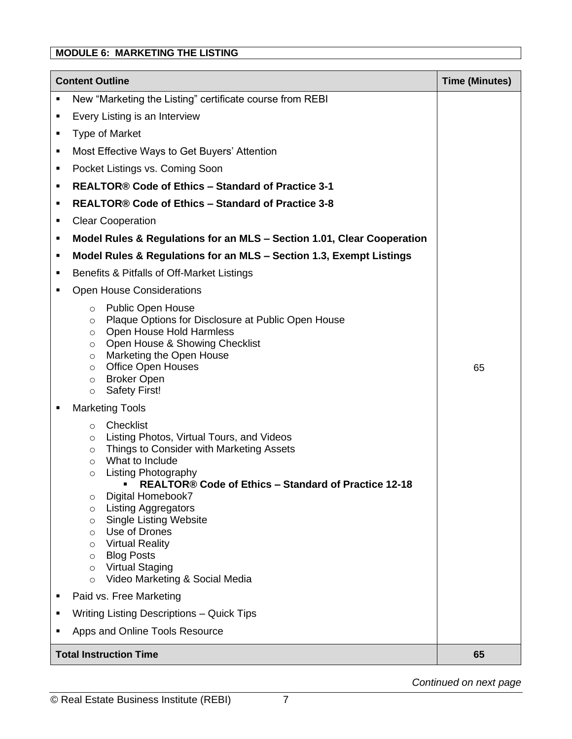# **MODULE 6: MARKETING THE LISTING**

|   | <b>Content Outline</b><br><b>Time (Minutes)</b>                                                                                                                                                                                                                                                                                                                                                                                                                                                                         |    |  |  |
|---|-------------------------------------------------------------------------------------------------------------------------------------------------------------------------------------------------------------------------------------------------------------------------------------------------------------------------------------------------------------------------------------------------------------------------------------------------------------------------------------------------------------------------|----|--|--|
| ٠ | New "Marketing the Listing" certificate course from REBI                                                                                                                                                                                                                                                                                                                                                                                                                                                                |    |  |  |
| ٠ | Every Listing is an Interview                                                                                                                                                                                                                                                                                                                                                                                                                                                                                           |    |  |  |
| ٠ | <b>Type of Market</b>                                                                                                                                                                                                                                                                                                                                                                                                                                                                                                   |    |  |  |
| ٠ | Most Effective Ways to Get Buyers' Attention                                                                                                                                                                                                                                                                                                                                                                                                                                                                            |    |  |  |
| ٠ | Pocket Listings vs. Coming Soon                                                                                                                                                                                                                                                                                                                                                                                                                                                                                         |    |  |  |
| ٠ | REALTOR® Code of Ethics - Standard of Practice 3-1                                                                                                                                                                                                                                                                                                                                                                                                                                                                      |    |  |  |
| ٠ | REALTOR® Code of Ethics - Standard of Practice 3-8                                                                                                                                                                                                                                                                                                                                                                                                                                                                      |    |  |  |
| ٠ | <b>Clear Cooperation</b>                                                                                                                                                                                                                                                                                                                                                                                                                                                                                                |    |  |  |
| ٠ | Model Rules & Regulations for an MLS - Section 1.01, Clear Cooperation                                                                                                                                                                                                                                                                                                                                                                                                                                                  |    |  |  |
| ٠ | Model Rules & Regulations for an MLS - Section 1.3, Exempt Listings                                                                                                                                                                                                                                                                                                                                                                                                                                                     |    |  |  |
| ٠ | Benefits & Pitfalls of Off-Market Listings                                                                                                                                                                                                                                                                                                                                                                                                                                                                              |    |  |  |
| ٠ | <b>Open House Considerations</b>                                                                                                                                                                                                                                                                                                                                                                                                                                                                                        |    |  |  |
|   | <b>Public Open House</b><br>$\circ$<br>Plaque Options for Disclosure at Public Open House<br>$\circ$<br>Open House Hold Harmless<br>$\circ$<br>Open House & Showing Checklist<br>$\circ$<br>Marketing the Open House<br>$\circ$<br><b>Office Open Houses</b><br>$\circ$<br><b>Broker Open</b><br>$\circ$<br><b>Safety First!</b><br>$\circ$                                                                                                                                                                             | 65 |  |  |
| ٠ | <b>Marketing Tools</b>                                                                                                                                                                                                                                                                                                                                                                                                                                                                                                  |    |  |  |
|   | Checklist<br>$\circ$<br>Listing Photos, Virtual Tours, and Videos<br>$\circ$<br>Things to Consider with Marketing Assets<br>$\circ$<br>What to Include<br>$\circ$<br><b>Listing Photography</b><br>$\circ$<br>REALTOR® Code of Ethics - Standard of Practice 12-18<br>Digital Homebook7<br>$\circ$<br><b>Listing Aggregators</b><br>$\circ$<br><b>Single Listing Website</b><br>$\circ$<br>Use of Drones<br>$\circ$<br><b>Virtual Reality</b><br>$\circ$<br><b>Blog Posts</b><br>O<br><b>Virtual Staging</b><br>$\circ$ |    |  |  |
|   | Video Marketing & Social Media<br>$\circ$<br>Paid vs. Free Marketing                                                                                                                                                                                                                                                                                                                                                                                                                                                    |    |  |  |
| п | Writing Listing Descriptions - Quick Tips                                                                                                                                                                                                                                                                                                                                                                                                                                                                               |    |  |  |
| п | Apps and Online Tools Resource                                                                                                                                                                                                                                                                                                                                                                                                                                                                                          |    |  |  |
|   | <b>Total Instruction Time</b><br>65                                                                                                                                                                                                                                                                                                                                                                                                                                                                                     |    |  |  |
|   |                                                                                                                                                                                                                                                                                                                                                                                                                                                                                                                         |    |  |  |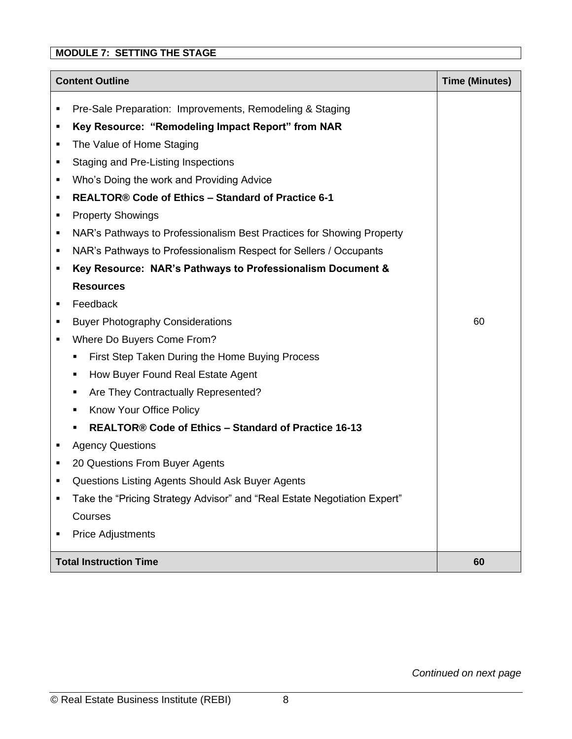# **MODULE 7: SETTING THE STAGE**

|                               | <b>Content Outline</b><br><b>Time (Minutes)</b>                          |    |
|-------------------------------|--------------------------------------------------------------------------|----|
| ٠                             | Pre-Sale Preparation: Improvements, Remodeling & Staging                 |    |
| ٠                             | Key Resource: "Remodeling Impact Report" from NAR                        |    |
| ٠                             | The Value of Home Staging                                                |    |
| ٠                             | Staging and Pre-Listing Inspections                                      |    |
| ٠                             | Who's Doing the work and Providing Advice                                |    |
| ٠                             | <b>REALTOR® Code of Ethics - Standard of Practice 6-1</b>                |    |
| ٠                             | <b>Property Showings</b>                                                 |    |
| ٠                             | NAR's Pathways to Professionalism Best Practices for Showing Property    |    |
| ٠                             | NAR's Pathways to Professionalism Respect for Sellers / Occupants        |    |
| ٠                             | Key Resource: NAR's Pathways to Professionalism Document &               |    |
|                               | <b>Resources</b>                                                         |    |
| ٠                             | Feedback                                                                 |    |
| ٠                             | <b>Buyer Photography Considerations</b>                                  | 60 |
| ٠                             | Where Do Buyers Come From?                                               |    |
|                               | First Step Taken During the Home Buying Process<br>п                     |    |
|                               | How Buyer Found Real Estate Agent<br>п                                   |    |
|                               | Are They Contractually Represented?<br>٠                                 |    |
|                               | Know Your Office Policy                                                  |    |
|                               | REALTOR® Code of Ethics - Standard of Practice 16-13                     |    |
| ٠                             | <b>Agency Questions</b>                                                  |    |
| ٠                             | 20 Questions From Buyer Agents                                           |    |
|                               | Questions Listing Agents Should Ask Buyer Agents                         |    |
|                               | Take the "Pricing Strategy Advisor" and "Real Estate Negotiation Expert" |    |
|                               | Courses                                                                  |    |
|                               | <b>Price Adjustments</b>                                                 |    |
| <b>Total Instruction Time</b> |                                                                          | 60 |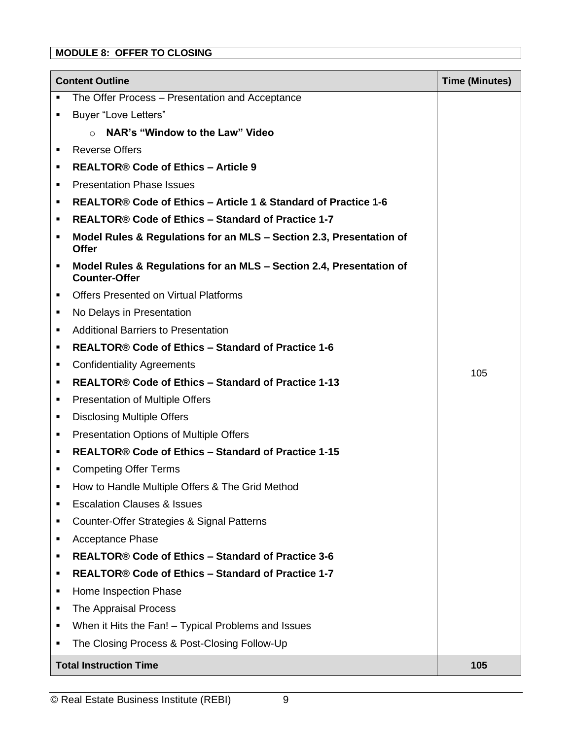# **MODULE 8: OFFER TO CLOSING**

| <b>Content Outline</b> |                                                                                             | <b>Time (Minutes)</b> |
|------------------------|---------------------------------------------------------------------------------------------|-----------------------|
| ٠                      | The Offer Process - Presentation and Acceptance                                             |                       |
| ٠                      | <b>Buyer "Love Letters"</b>                                                                 |                       |
|                        | NAR's "Window to the Law" Video<br>$\Omega$                                                 |                       |
| ٠                      | <b>Reverse Offers</b>                                                                       |                       |
| ٠                      | <b>REALTOR® Code of Ethics - Article 9</b>                                                  |                       |
| ٠                      | <b>Presentation Phase Issues</b>                                                            |                       |
| ٠                      | REALTOR® Code of Ethics - Article 1 & Standard of Practice 1-6                              |                       |
| ٠                      | REALTOR® Code of Ethics - Standard of Practice 1-7                                          |                       |
| ٠                      | Model Rules & Regulations for an MLS - Section 2.3, Presentation of<br><b>Offer</b>         |                       |
| ٠                      | Model Rules & Regulations for an MLS - Section 2.4, Presentation of<br><b>Counter-Offer</b> |                       |
| ٠                      | <b>Offers Presented on Virtual Platforms</b>                                                |                       |
| ٠                      | No Delays in Presentation                                                                   |                       |
| ٠                      | <b>Additional Barriers to Presentation</b>                                                  |                       |
| ٠                      | REALTOR® Code of Ethics – Standard of Practice 1-6                                          |                       |
| ٠                      | <b>Confidentiality Agreements</b>                                                           | 105                   |
| ٠                      | REALTOR® Code of Ethics - Standard of Practice 1-13                                         |                       |
| ٠                      | <b>Presentation of Multiple Offers</b>                                                      |                       |
| ٠                      | <b>Disclosing Multiple Offers</b>                                                           |                       |
| ٠                      | <b>Presentation Options of Multiple Offers</b>                                              |                       |
| ٠                      | REALTOR® Code of Ethics - Standard of Practice 1-15                                         |                       |
| ٠                      | <b>Competing Offer Terms</b>                                                                |                       |
| $\blacksquare$         | How to Handle Multiple Offers & The Grid Method                                             |                       |
| ٠                      | <b>Escalation Clauses &amp; Issues</b>                                                      |                       |
| ٠                      | Counter-Offer Strategies & Signal Patterns                                                  |                       |
| ٠                      | <b>Acceptance Phase</b>                                                                     |                       |
| ٠                      | REALTOR® Code of Ethics - Standard of Practice 3-6                                          |                       |
| ٠                      | REALTOR® Code of Ethics - Standard of Practice 1-7                                          |                       |
| ٠                      | Home Inspection Phase                                                                       |                       |
| ٠                      | The Appraisal Process                                                                       |                       |
| ٠                      | When it Hits the Fan! - Typical Problems and Issues                                         |                       |
| ٠                      | The Closing Process & Post-Closing Follow-Up                                                |                       |
|                        | <b>Total Instruction Time</b>                                                               | 105                   |